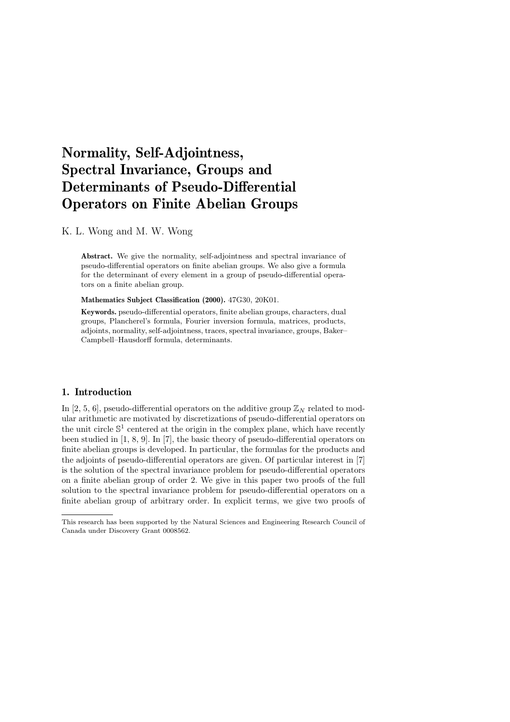# Normality, Self-Adjointness, Spectral Invariance, Groups and Determinants of Pseudo-Differential Operators on Finite Abelian Groups

K. L. Wong and M. W. Wong

Abstract. We give the normality, self-adjointness and spectral invariance of pseudo-differential operators on finite abelian groups. We also give a formula for the determinant of every element in a group of pseudo-differential operators on a finite abelian group.

Mathematics Subject Classification (2000). 47G30, 20K01.

Keywords. pseudo-differential operators, finite abelian groups, characters, dual groups, Plancherel's formula, Fourier inversion formula, matrices, products, adjoints, normality, self-adjointness, traces, spectral invariance, groups, Baker– Campbell–Hausdorff formula, determinants.

### 1. Introduction

In [2, 5, 6], pseudo-differential operators on the additive group  $\mathbb{Z}_N$  related to modular arithmetic are motivated by discretizations of pseudo-differential operators on the unit circle  $\mathbb{S}^1$  centered at the origin in the complex plane, which have recently been studied in [1, 8, 9]. In [7], the basic theory of pseudo-differential operators on finite abelian groups is developed. In particular, the formulas for the products and the adjoints of pseudo-differential operators are given. Of particular interest in [7] is the solution of the spectral invariance problem for pseudo-differential operators on a finite abelian group of order 2. We give in this paper two proofs of the full solution to the spectral invariance problem for pseudo-differential operators on a finite abelian group of arbitrary order. In explicit terms, we give two proofs of

This research has been supported by the Natural Sciences and Engineering Research Council of Canada under Discovery Grant 0008562.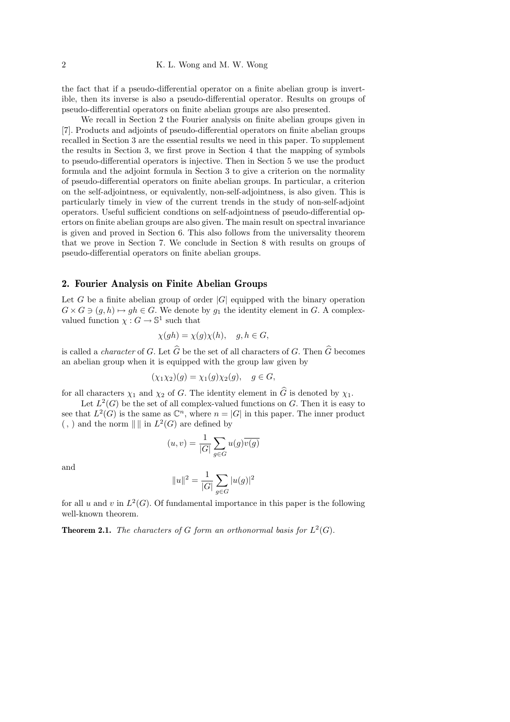the fact that if a pseudo-differential operator on a finite abelian group is invertible, then its inverse is also a pseudo-differential operator. Results on groups of pseudo-differential operators on finite abelian groups are also presented.

We recall in Section 2 the Fourier analysis on finite abelian groups given in [7]. Products and adjoints of pseudo-differential operators on finite abelian groups recalled in Section 3 are the essential results we need in this paper. To supplement the results in Section 3, we first prove in Section 4 that the mapping of symbols to pseudo-differential operators is injective. Then in Section 5 we use the product formula and the adjoint formula in Section 3 to give a criterion on the normality of pseudo-differential operators on finite abelian groups. In particular, a criterion on the self-adjointness, or equivalently, non-self-adjointness, is also given. This is particularly timely in view of the current trends in the study of non-self-adjoint operators. Useful sufficient condtions on self-adjointness of pseudo-differential opertors on finite abelian groups are also given. The main result on spectral invariance is given and proved in Section 6. This also follows from the universality theorem that we prove in Section 7. We conclude in Section 8 with results on groups of pseudo-differential operators on finite abelian groups.

### 2. Fourier Analysis on Finite Abelian Groups

Let G be a finite abelian group of order  $|G|$  equipped with the binary operation  $G \times G \ni (g, h) \mapsto gh \in G$ . We denote by  $g_1$  the identity element in G. A complexvalued function  $\chi: G \to \mathbb{S}^1$  such that

$$
\chi(gh) = \chi(g)\chi(h), \quad g, h \in G,
$$

is called a *character* of G. Let  $\widehat{G}$  be the set of all characters of G. Then  $\widehat{G}$  becomes an abelian group when it is equipped with the group law given by

$$
(\chi_1 \chi_2)(g) = \chi_1(g)\chi_2(g), \quad g \in G,
$$

for all characters  $\chi_1$  and  $\chi_2$  of G. The identity element in  $\widehat{G}$  is denoted by  $\chi_1$ .

Let  $L^2(G)$  be the set of all complex-valued functions on G. Then it is easy to see that  $L^2(G)$  is the same as  $\mathbb{C}^n$ , where  $n = |G|$  in this paper. The inner product  $($ ,  $)$  and the norm  $\| \|\$  in  $L^2(G)$  are defined by

$$
(u,v) = \frac{1}{|G|} \sum_{g \in G} u(g) \overline{v(g)}
$$

and

$$
||u||^2 = \frac{1}{|G|} \sum_{g \in G} |u(g)|^2
$$

for all u and v in  $L^2(G)$ . Of fundamental importance in this paper is the following well-known theorem.

**Theorem 2.1.** The characters of G form an orthonormal basis for  $L^2(G)$ .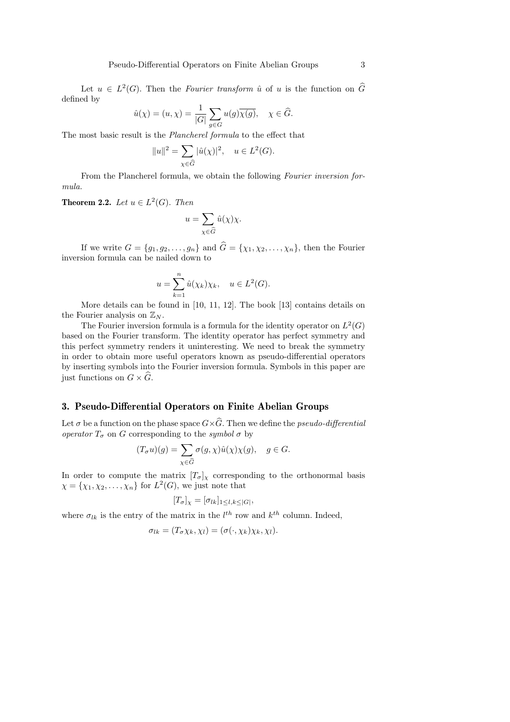Let  $u \in L^2(G)$ . Then the *Fourier transform*  $\hat{u}$  of  $u$  is the function on  $\hat{G}$ defined by

$$
\hat{u}(\chi) = (u, \chi) = \frac{1}{|G|} \sum_{g \in G} u(g) \overline{\chi(g)}, \quad \chi \in \widehat{G}.
$$

The most basic result is the Plancherel formula to the effect that

$$
||u||^2 = \sum_{\chi \in \widehat{G}} |\widehat{u}(\chi)|^2, \quad u \in L^2(G).
$$

From the Plancherel formula, we obtain the following Fourier inversion formula.

**Theorem 2.2.** Let  $u \in L^2(G)$ . Then

$$
u=\sum_{\chi\in\widehat{G}}\hat{u}(\chi)\chi.
$$

If we write  $G = \{g_1, g_2, \ldots, g_n\}$  and  $\widehat{G} = \{\chi_1, \chi_2, \ldots, \chi_n\}$ , then the Fourier inversion formula can be nailed down to

$$
u = \sum_{k=1}^{n} \hat{u}(\chi_k) \chi_k, \quad u \in L^2(G).
$$

More details can be found in [10, 11, 12]. The book [13] contains details on the Fourier analysis on  $\mathbb{Z}_N$ .

The Fourier inversion formula is a formula for the identity operator on  $L^2(G)$ based on the Fourier transform. The identity operator has perfect symmetry and this perfect symmetry renders it uninteresting. We need to break the symmetry in order to obtain more useful operators known as pseudo-differential operators by inserting symbols into the Fourier inversion formula. Symbols in this paper are just functions on  $G \times G$ .

#### 3. Pseudo-Differential Operators on Finite Abelian Groups

Let  $\sigma$  be a function on the phase space  $G\times\widehat{G}$ . Then we define the pseudo-differential operator  $T_{\sigma}$  on G corresponding to the symbol  $\sigma$  by

$$
(T_{\sigma}u)(g) = \sum_{\chi \in \widehat{G}} \sigma(g, \chi)\hat{u}(\chi)\chi(g), \quad g \in G.
$$

In order to compute the matrix  $[T_{\sigma}]_{\chi}$  corresponding to the orthonormal basis  $\chi = {\chi_1, \chi_2, \ldots, \chi_n}$  for  $L^2(G)$ , we just note that

$$
[T_{\sigma}]_{\chi} = [\sigma_{lk}]_{1 \leq l,k \leq |G|},
$$

where  $\sigma_{lk}$  is the entry of the matrix in the  $l^{th}$  row and  $k^{th}$  column. Indeed,

$$
\sigma_{lk} = (T_{\sigma} \chi_k, \chi_l) = (\sigma(\cdot, \chi_k) \chi_k, \chi_l).
$$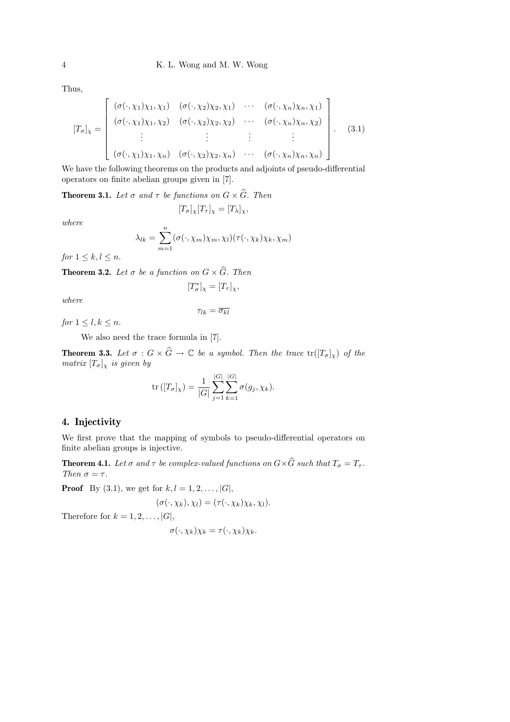Thus,

$$
[T_{\sigma}]_{\chi} = \begin{bmatrix} (\sigma(\cdot, \chi_1)\chi_1, \chi_1) & (\sigma(\cdot, \chi_2)\chi_2, \chi_1) & \cdots & (\sigma(\cdot, \chi_n)\chi_n, \chi_1) \\ (\sigma(\cdot, \chi_1)\chi_1, \chi_2) & (\sigma(\cdot, \chi_2)\chi_2, \chi_2) & \cdots & (\sigma(\cdot, \chi_n)\chi_n, \chi_2) \\ \vdots & \vdots & \vdots & \vdots \\ (\sigma(\cdot, \chi_1)\chi_1, \chi_n) & (\sigma(\cdot, \chi_2)\chi_2, \chi_n) & \cdots & (\sigma(\cdot, \chi_n)\chi_n, \chi_n) \end{bmatrix} .
$$
 (3.1)

We have the following theorems on the products and adjoints of pseudo-differential operators on finite abelian groups given in [7].

**Theorem 3.1.** Let  $\sigma$  and  $\tau$  be functions on  $G \times \widehat{G}$ . Then

$$
[T_{\sigma}]_{\chi}[T_{\tau}]_{\chi} = [T_{\lambda}]_{\chi},
$$

where

$$
\lambda_{lk} = \sum_{m=1}^{n} (\sigma(\cdot, \chi_m)\chi_m, \chi_l)(\tau(\cdot, \chi_k)\chi_k, \chi_m)
$$

for  $1 \leq k, l \leq n$ .

**Theorem 3.2.** Let  $\sigma$  be a function on  $G \times \widehat{G}$ . Then

$$
[T^*_{\sigma}]_{\chi} = [T_{\tau}]_{\chi},
$$

where

$$
\tau_{lk}=\overline{\sigma_{kl}}
$$

for  $1 \leq l, k \leq n$ .

We also need the trace formula in [7].

**Theorem 3.3.** Let  $\sigma : G \times \widehat{G} \to \mathbb{C}$  be a symbol. Then the trace  $tr([T_{\sigma}]_{\chi})$  of the matrix  $[T_{\sigma}]_{\chi}$  is given by

tr 
$$
([T_{\sigma}]_{\chi}) = \frac{1}{|G|} \sum_{j=1}^{|G|} \sum_{k=1}^{|G|} \sigma(g_j, \chi_k).
$$

### 4. Injectivity

We first prove that the mapping of symbols to pseudo-differential operators on finite abelian groups is injective.

**Theorem 4.1.** Let  $\sigma$  and  $\tau$  be complex-valued functions on  $G \times \widehat{G}$  such that  $T_{\sigma} = T_{\tau}$ . Then  $\sigma = \tau$ .

**Proof** By (3.1), we get for  $k, l = 1, 2, ..., |G|$ ,

$$
(\sigma(\cdot,\chi_k),\chi_l)=(\tau(\cdot,\chi_k)\chi_k,\chi_l).
$$

Therefore for  $k = 1, 2, \ldots, |G|$ ,

$$
\sigma(\cdot,\chi_k)\chi_k = \tau(\cdot,\chi_k)\chi_k.
$$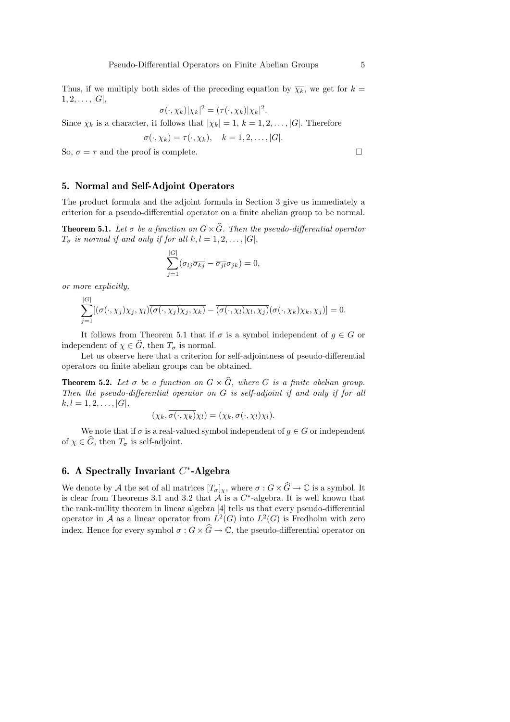Thus, if we multiply both sides of the preceding equation by  $\overline{\chi_k}$ , we get for  $k =$  $1, 2, \ldots, |G|,$ 

$$
\sigma(\cdot,\chi_k)|\chi_k|^2 = (\tau(\cdot,\chi_k)|\chi_k|^2.
$$

Since  $\chi_k$  is a character, it follows that  $|\chi_k| = 1, k = 1, 2, ..., |G|$ . Therefore

$$
\sigma(\cdot, \chi_k) = \tau(\cdot, \chi_k), \quad k = 1, 2, \dots, |G|.
$$

So,  $\sigma = \tau$  and the proof is complete.

### 5. Normal and Self-Adjoint Operators

The product formula and the adjoint formula in Section 3 give us immediately a criterion for a pseudo-differential operator on a finite abelian group to be normal.

**Theorem 5.1.** Let  $\sigma$  be a function on  $G \times \widehat{G}$ . Then the pseudo-differential operator  $T_{\sigma}$  is normal if and only if for all  $k, l = 1, 2, \ldots, |G|$ ,

$$
\sum_{j=1}^{|G|} (\sigma_{lj}\overline{\sigma_{kj}} - \overline{\sigma_{jl}}\sigma_{jk}) = 0,
$$

or more explicitly,

$$
\sum_{j=1}^{|G|} [(\sigma(\cdot,\chi_j)\chi_j,\chi_l)\overline{(\sigma(\cdot,\chi_j)\chi_j,\chi_k)} - \overline{(\sigma(\cdot,\chi_l)\chi_l,\chi_j)}(\sigma(\cdot,\chi_k)\chi_k,\chi_j)] = 0.
$$

It follows from Theorem 5.1 that if  $\sigma$  is a symbol independent of  $g \in G$  or independent of  $\chi \in \widehat{G}$ , then  $T_{\sigma}$  is normal.

Let us observe here that a criterion for self-adjointness of pseudo-differential operators on finite abelian groups can be obtained.

**Theorem 5.2.** Let  $\sigma$  be a function on  $G \times \widehat{G}$ , where G is a finite abelian group. Then the pseudo-differential operator on G is self-adjoint if and only if for all  $k, l = 1, 2, \ldots, |G|,$ 

$$
(\chi_k, \overline{\sigma(\cdot,\chi_k)}\chi_l) = (\chi_k, \sigma(\cdot,\chi_l)\chi_l).
$$

We note that if  $\sigma$  is a real-valued symbol independent of  $g \in G$  or independent of  $\chi \in \widehat{G}$ , then  $T_{\sigma}$  is self-adjoint.

# 6. A Spectrally Invariant  $C^*$ -Algebra

We denote by A the set of all matrices  $[T_{\sigma}]_{\chi}$ , where  $\sigma : G \times \widehat{G} \to \mathbb{C}$  is a symbol. It is clear from Theorems 3.1 and 3.2 that  $A$  is a  $C^*$ -algebra. It is well known that the rank-nullity theorem in linear algebra [4] tells us that every pseudo-differential operator in A as a linear operator from  $L^2(G)$  into  $L^2(G)$  is Fredholm with zero index. Hence for every symbol  $\sigma : G \times \widehat{G} \to \mathbb{C}$ , the pseudo-differential operator on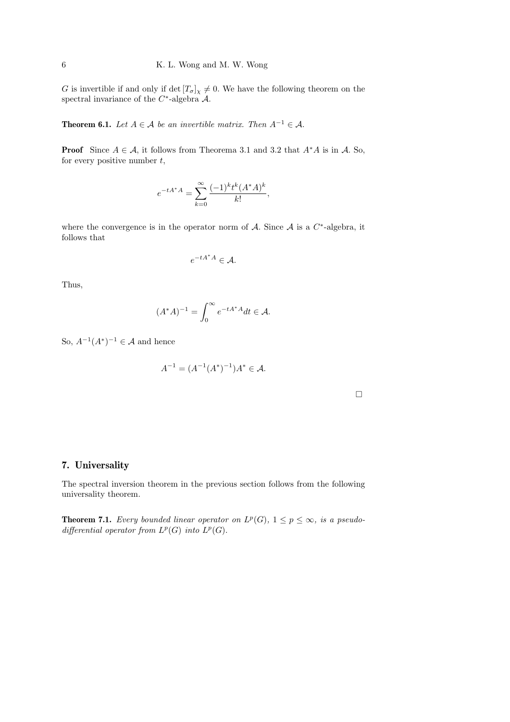G is invertible if and only if  $\det [T_{\sigma}]_{\chi} \neq 0$ . We have the following theorem on the spectral invariance of the  $C^*$ -algebra  $\mathcal{A}$ .

**Theorem 6.1.** Let  $A \in \mathcal{A}$  be an invertible matrix. Then  $A^{-1} \in \mathcal{A}$ .

**Proof** Since  $A \in \mathcal{A}$ , it follows from Theorema 3.1 and 3.2 that  $A^*A$  is in  $\mathcal{A}$ . So, for every positive number  $t$ ,

$$
e^{-tA^*A} = \sum_{k=0}^{\infty} \frac{(-1)^k t^k (A^*A)^k}{k!},
$$

where the convergence is in the operator norm of  $A$ . Since  $A$  is a  $C^*$ -algebra, it follows that

$$
e^{-tA^*A} \in \mathcal{A}.
$$

Thus,

$$
(A^*A)^{-1} = \int_0^\infty e^{-tA^*A} dt \in \mathcal{A}.
$$

So,  $A^{-1}(A^*)^{-1} \in \mathcal{A}$  and hence

$$
A^{-1} = (A^{-1}(A^*)^{-1})A^* \in \mathcal{A}.
$$

 $\Box$ 

## 7. Universality

The spectral inversion theorem in the previous section follows from the following universality theorem.

**Theorem 7.1.** Every bounded linear operator on  $L^p(G)$ ,  $1 \leq p \leq \infty$ , is a pseudodifferential operator from  $L^p(G)$  into  $L^p(G)$ .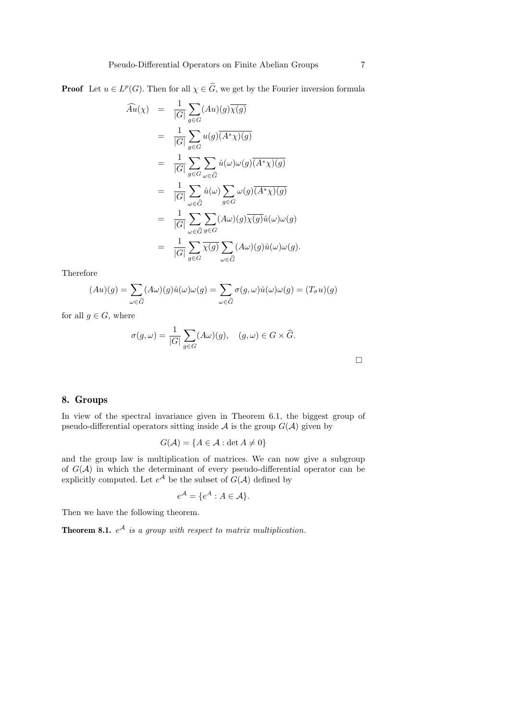**Proof** Let  $u \in L^p(G)$ . Then for all  $\chi \in \widehat{G}$ , we get by the Fourier inversion formula

$$
\widehat{A}u(\chi) = \frac{1}{|G|} \sum_{g \in G} (Au)(g)\overline{\chi(g)}
$$
\n
$$
= \frac{1}{|G|} \sum_{g \in G} u(g)(\overline{A^* \chi})(g)
$$
\n
$$
= \frac{1}{|G|} \sum_{g \in G} \sum_{\omega \in \widehat{G}} \widehat{u}(\omega) \omega(g)(\overline{A^* \chi})(g)
$$
\n
$$
= \frac{1}{|G|} \sum_{\omega \in \widehat{G}} \widehat{u}(\omega) \sum_{g \in G} \omega(g)(\overline{A^* \chi})(g)
$$
\n
$$
= \frac{1}{|G|} \sum_{\omega \in \widehat{G}} \sum_{g \in G} (A\omega)(g)\overline{\chi(g)}\widehat{u}(\omega)\omega(g)
$$
\n
$$
= \frac{1}{|G|} \sum_{g \in G} \overline{\chi(g)} \sum_{\omega \in \widehat{G}} (A\omega)(g)\widehat{u}(\omega)\omega(g).
$$

Therefore

$$
(Au)(g) = \sum_{\omega \in \widehat{G}} (A\omega)(g)\widehat{u}(\omega)\omega(g) = \sum_{\omega \in \widehat{G}} \sigma(g, \omega)\widehat{u}(\omega)\omega(g) = (T_{\sigma}u)(g)
$$

for all  $g \in G$ , where

$$
\sigma(g,\omega) = \frac{1}{|G|} \sum_{g \in G} (A\omega)(g), \quad (g,\omega) \in G \times \widehat{G}.
$$

 $\Box$ 

### 8. Groups

In view of the spectral invariance given in Theorem 6.1, the biggest group of pseudo-differential operators sitting inside  $A$  is the group  $G(A)$  given by

$$
G(\mathcal{A}) = \{ A \in \mathcal{A} : \det A \neq 0 \}
$$

and the group law is multiplication of matrices. We can now give a subgroup of  $G(\mathcal{A})$  in which the determinant of every pseudo-differential operator can be explicitly computed. Let  $e^{\mathcal{A}}$  be the subset of  $G(\mathcal{A})$  defined by

$$
e^{\mathcal{A}} = \{ e^A : A \in \mathcal{A} \}.
$$

Then we have the following theorem.

**Theorem 8.1.**  $e^{\mathcal{A}}$  is a group with respect to matrix multiplication.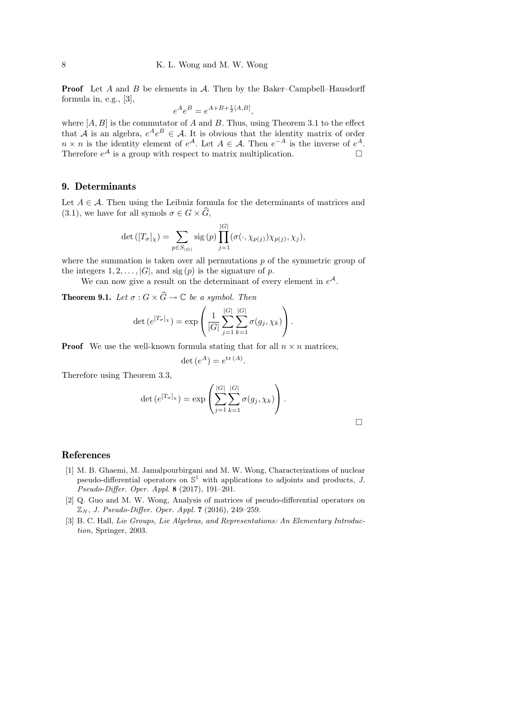**Proof** Let  $A$  and  $B$  be elements in  $A$ . Then by the Baker–Campbell–Hausdorff formula in, e.g., [3],

$$
e^A e^B = e^{A+B+\frac{1}{2}[A,B]},
$$

where  $[A, B]$  is the commutator of A and B. Thus, using Theorem 3.1 to the effect that A is an algebra,  $e^A e^B \in \mathcal{A}$ . It is obvious that the identity matrix of order  $n \times n$  is the identity element of  $e^{\mathcal{A}}$ . Let  $A \in \mathcal{A}$ . Then  $e^{-A}$  is the inverse of  $e^{\mathcal{A}}$ . Therefore  $e^{\mathcal{A}}$  is a group with respect to matrix multiplication.

### 9. Determinants

Let  $A \in \mathcal{A}$ . Then using the Leibniz formula for the determinants of matrices and (3.1), we have for all symols  $\sigma \in G \times \widehat{G}$ ,

$$
\det([T_{\sigma}]_{\chi}) = \sum_{p \in S_{|G|}} \text{sig}(p) \prod_{j=1}^{|G|} (\sigma(\cdot, \chi_{p(j)}) \chi_{p(j)}, \chi_j),
$$

where the summation is taken over all permutations  $p$  of the symmetric group of the integers  $1, 2, \ldots, |G|$ , and sig  $(p)$  is the signature of p.

We can now give a result on the determinant of every element in  $e^{\mathcal{A}}$ .

**Theorem 9.1.** Let  $\sigma$  :  $G \times \widehat{G} \to \mathbb{C}$  be a symbol. Then

$$
\det(e^{[T_{\sigma}]_{\chi}}) = \exp\left(\frac{1}{|G|} \sum_{j=1}^{|G|} \sum_{k=1}^{|G|} \sigma(g_j, \chi_k)\right).
$$

**Proof** We use the well-known formula stating that for all  $n \times n$  matrices,

det  $(e^{A}) = e^{\text{tr}(A)}$ .

Therefore using Theorem 3.3,

$$
\det(e^{[T_{\sigma}]_{\chi}}) = \exp\left(\sum_{j=1}^{|G|} \sum_{k=1}^{|G|} \sigma(g_j, \chi_k)\right).
$$

### References

- [1] M. B. Ghaemi, M. Jamalpourbirgani and M. W. Wong, Characterizations of nuclear pseudo-differential operators on  $\mathbb{S}^1$  with applications to adjoints and products, J. Pseudo-Differ. Oper. Appl. 8 (2017), 191–201.
- [2] Q. Guo and M. W. Wong, Analysis of matrices of pseudo-differential operators on  $\mathbb{Z}_N$ , J. Pseudo-Differ. Oper. Appl. 7 (2016), 249–259.
- [3] B. C. Hall, Lie Groups, Lie Algebras, and Representations: An Elementary Introduction, Springer, 2003.